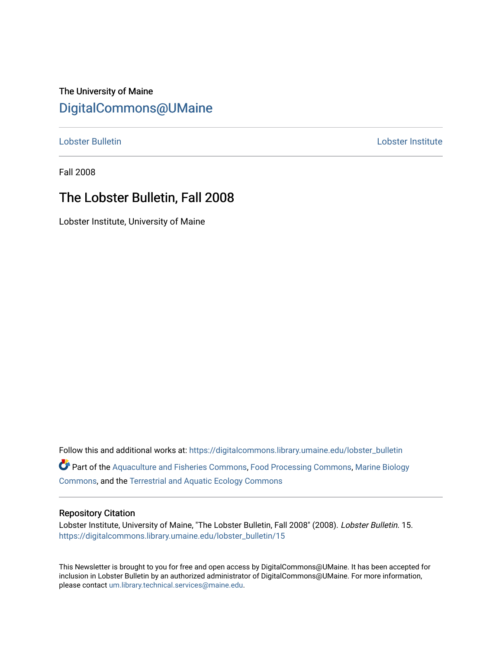# The University of Maine [DigitalCommons@UMaine](https://digitalcommons.library.umaine.edu/)

[Lobster Bulletin](https://digitalcommons.library.umaine.edu/lobster_bulletin) [Lobster Institute](https://digitalcommons.library.umaine.edu/lobster) 

Fall 2008

# The Lobster Bulletin, Fall 2008

Lobster Institute, University of Maine

Follow this and additional works at: [https://digitalcommons.library.umaine.edu/lobster\\_bulletin](https://digitalcommons.library.umaine.edu/lobster_bulletin?utm_source=digitalcommons.library.umaine.edu%2Flobster_bulletin%2F15&utm_medium=PDF&utm_campaign=PDFCoverPages) Part of the [Aquaculture and Fisheries Commons](http://network.bepress.com/hgg/discipline/78?utm_source=digitalcommons.library.umaine.edu%2Flobster_bulletin%2F15&utm_medium=PDF&utm_campaign=PDFCoverPages), [Food Processing Commons,](http://network.bepress.com/hgg/discipline/85?utm_source=digitalcommons.library.umaine.edu%2Flobster_bulletin%2F15&utm_medium=PDF&utm_campaign=PDFCoverPages) [Marine Biology](http://network.bepress.com/hgg/discipline/1126?utm_source=digitalcommons.library.umaine.edu%2Flobster_bulletin%2F15&utm_medium=PDF&utm_campaign=PDFCoverPages) [Commons](http://network.bepress.com/hgg/discipline/1126?utm_source=digitalcommons.library.umaine.edu%2Flobster_bulletin%2F15&utm_medium=PDF&utm_campaign=PDFCoverPages), and the [Terrestrial and Aquatic Ecology Commons](http://network.bepress.com/hgg/discipline/20?utm_source=digitalcommons.library.umaine.edu%2Flobster_bulletin%2F15&utm_medium=PDF&utm_campaign=PDFCoverPages) 

## Repository Citation

Lobster Institute, University of Maine, "The Lobster Bulletin, Fall 2008" (2008). Lobster Bulletin. 15. [https://digitalcommons.library.umaine.edu/lobster\\_bulletin/15](https://digitalcommons.library.umaine.edu/lobster_bulletin/15?utm_source=digitalcommons.library.umaine.edu%2Flobster_bulletin%2F15&utm_medium=PDF&utm_campaign=PDFCoverPages) 

This Newsletter is brought to you for free and open access by DigitalCommons@UMaine. It has been accepted for inclusion in Lobster Bulletin by an authorized administrator of DigitalCommons@UMaine. For more information, please contact [um.library.technical.services@maine.edu.](mailto:um.library.technical.services@maine.edu)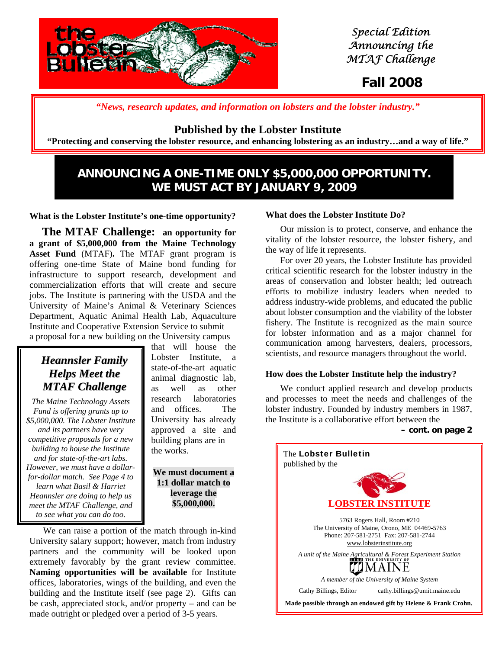

 *Special Edition Announcing the MTAF Challenge*

# **Fall 2008**

*"News, research updates, and information on lobsters and the lobster industry."*

# **Published by the Lobster Institute**

**"Protecting and conserving the lobster resource, and enhancing lobstering as an industry…and a way of life."** 

# **ANNOUNCING A ONE-TIME ONLY \$5,000,000 OPPORTUNITY. WE MUST ACT BY JANUARY 9, 2009**

**What is the Lobster Institute's one-time opportunity?**

 **The MTAF Challenge: an opportunity for a grant of \$5,000,000 from the Maine Technology Asset Fund** (MTAF)**.** The MTAF grant program is offering one-time State of Maine bond funding for infrastructure to support research, development and commercialization efforts that will create and secure jobs. The Institute is partnering with the USDA and the University of Maine's Animal & Veterinary Sciences Department, Aquatic Animal Health Lab, Aquaculture Institute and Cooperative Extension Service to submit a proposal for a new building on the University campus

# *Heannsler Family Helps Meet the MTAF Challenge*

*The Maine Technology Assets Fund is offering grants up to \$5,000,000. The Lobster Institute and its partners have very competitive proposals for a new building to house the Institute and for state-of-the-art labs. However, we must have a dollarfor-dollar match. See Page 4 to learn what Basil & Harriet Heannsler are doing to help us meet the MTAF Challenge, and to see what you can do too.* 

that will house the Lobster Institute, a state-of-the-art aquatic animal diagnostic lab, as well as other research laboratories and offices. The University has already approved a site and building plans are in the works.

**We must document a 1:1 dollar match to leverage the \$5,000,000.** 

 We can raise a portion of the match through in-kind University salary support; however, match from industry partners and the community will be looked upon extremely favorably by the grant review committee. **Naming opportunities will be available** for Institute offices, laboratories, wings of the building, and even the building and the Institute itself (see page 2). Gifts can be cash, appreciated stock, and/or property – and can be made outright or pledged over a period of 3-5 years.

#### **What does the Lobster Institute Do?**

 Our mission is to protect, conserve, and enhance the vitality of the lobster resource, the lobster fishery, and the way of life it represents.

 For over 20 years, the Lobster Institute has provided critical scientific research for the lobster industry in the areas of conservation and lobster health; led outreach efforts to mobilize industry leaders when needed to address industry-wide problems, and educated the public about lobster consumption and the viability of the lobster fishery. The Institute is recognized as the main source for lobster information and as a major channel for communication among harvesters, dealers, processors, scientists, and resource managers throughout the world.

#### **How does the Lobster Institute help the industry?**

 We conduct applied research and develop products and processes to meet the needs and challenges of the lobster industry. Founded by industry members in 1987, the Institute is a collaborative effort between the

**– cont. on page 2**

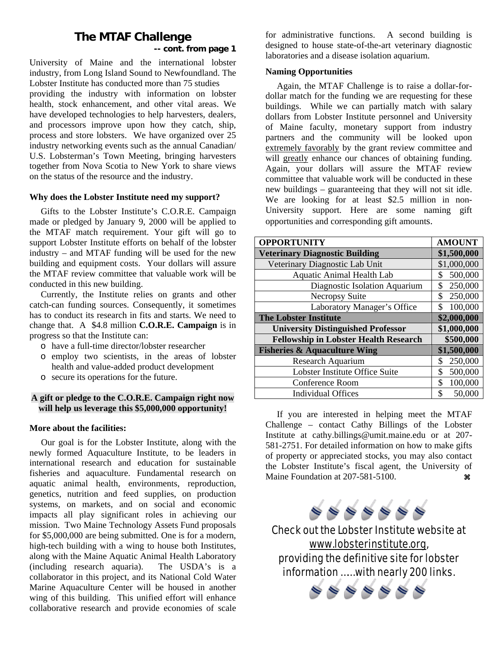# **The MTAF Challenge -- cont. from page 1**

University of Maine and the international lobster industry, from Long Island Sound to Newfoundland. The Lobster Institute has conducted more than 75 studies providing the industry with information on lobster health, stock enhancement, and other vital areas. We have developed technologies to help harvesters, dealers, and processors improve upon how they catch, ship, process and store lobsters. We have organized over 25 industry networking events such as the annual Canadian/ U.S. Lobsterman's Town Meeting, bringing harvesters together from Nova Scotia to New York to share views on the status of the resource and the industry.

#### **Why does the Lobster Institute need my support?**

 Gifts to the Lobster Institute's C.O.R.E. Campaign made or pledged by January 9, 2000 will be applied to the MTAF match requirement. Your gift will go to support Lobster Institute efforts on behalf of the lobster industry – and MTAF funding will be used for the new building and equipment costs. Your dollars will assure the MTAF review committee that valuable work will be conducted in this new building.

 Currently, the Institute relies on grants and other catch-can funding sources. Consequently, it sometimes has to conduct its research in fits and starts. We need to change that. A \$4.8 million **C.O.R.E. Campaign** is in progress so that the Institute can:

- o have a full-time director/lobster researcher
- o employ two scientists, in the areas of lobster health and value-added product development
- o secure its operations for the future.

## **A gift or pledge to the C.O.R.E. Campaign right now will help us leverage this \$5,000,000 opportunity!**

## **More about the facilities:**

 Our goal is for the Lobster Institute, along with the newly formed Aquaculture Institute, to be leaders in international research and education for sustainable fisheries and aquaculture. Fundamental research on aquatic animal health, environments, reproduction, genetics, nutrition and feed supplies, on production systems, on markets, and on social and economic impacts all play significant roles in achieving our mission. Two Maine Technology Assets Fund proposals for \$5,000,000 are being submitted. One is for a modern, high-tech building with a wing to house both Institutes, along with the Maine Aquatic Animal Health Laboratory (including research aquaria). The USDA's is a collaborator in this project, and its National Cold Water Marine Aquaculture Center will be housed in another wing of this building. This unified effort will enhance collaborative research and provide economies of scale

for administrative functions. A second building is designed to house state-of-the-art veterinary diagnostic laboratories and a disease isolation aquarium.

## **Naming Opportunities**

 Again, the MTAF Challenge is to raise a dollar-fordollar match for the funding we are requesting for these buildings. While we can partially match with salary dollars from Lobster Institute personnel and University of Maine faculty, monetary support from industry partners and the community will be looked upon extremely favorably by the grant review committee and will greatly enhance our chances of obtaining funding. Again, your dollars will assure the MTAF review committee that valuable work will be conducted in these new buildings – guaranteeing that they will not sit idle. We are looking for at least \$2.5 million in non-University support. Here are some naming gift opportunities and corresponding gift amounts.

| <b>OPPORTUNITY</b>                           | <b>AMOUNT</b> |
|----------------------------------------------|---------------|
| <b>Veterinary Diagnostic Building</b>        | \$1,500,000   |
| Veterinary Diagnostic Lab Unit               | \$1,000,000   |
| <b>Aquatic Animal Health Lab</b>             | 500,000<br>\$ |
| Diagnostic Isolation Aquarium                | 250,000<br>\$ |
| <b>Necropsy Suite</b>                        | 250,000<br>\$ |
| Laboratory Manager's Office                  | 100,000<br>\$ |
| <b>The Lobster Institute</b>                 | \$2,000,000   |
| <b>University Distinguished Professor</b>    | \$1,000,000   |
| <b>Fellowship in Lobster Health Research</b> | \$500,000     |
| <b>Fisheries &amp; Aquaculture Wing</b>      | \$1,500,000   |
| Research Aquarium                            | 250,000<br>\$ |
| Lobster Institute Office Suite               | \$<br>500,000 |
| <b>Conference Room</b>                       | \$<br>100,000 |
| <b>Individual Offices</b>                    | \$<br>50,000  |

 If you are interested in helping meet the MTAF Challenge – contact Cathy Billings of the Lobster Institute at cathy.billings@umit.maine.edu or at 207- 581-2751. For detailed information on how to make gifts of property or appreciated stocks, you may also contact the Lobster Institute's fiscal agent, the University of Maine Foundation at  $207-581-5100$ .



Check out the Lobster Institute website at www.lobsterinstitute.org, providing the definitive site for lobster information …… with nearly 200 links.

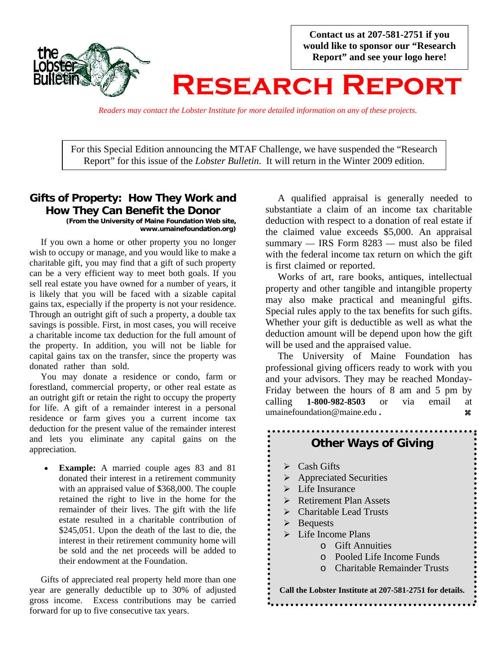

**Contact us at 207-581-2751 if you would like to sponsor our "Research Report" and see your logo here!** 

# **Research Report**

*Readers may contact the Lobster Institute for more detailed information on any of these projects.*

For this Special Edition announcing the MTAF Challenge, we have suspended the "Research Report" for this issue of the *Lobster Bulletin*. It will return in the Winter 2009 edition.

#### **Gifts of Property: How They Work and How They Can Benefit the Donor (From the University of Maine Foundation Web site, www.umainefoundation.org)**

 If you own a home or other property you no longer wish to occupy or manage, and you would like to make a charitable gift, you may find that a gift of such property can be a very efficient way to meet both goals. If you sell real estate you have owned for a number of years, it is likely that you will be faced with a sizable capital gains tax, especially if the property is not your residence. Through an outright gift of such a property, a double tax savings is possible. First, in most cases, you will receive a charitable income tax deduction for the full amount of the property. In addition, you will not be liable for capital gains tax on the transfer, since the property was donated rather than sold.

 You may donate a residence or condo, farm or forestland, commercial property, or other real estate as an outright gift or retain the right to occupy the property for life. A gift of a remainder interest in a personal residence or farm gives you a current income tax deduction for the present value of the remainder interest and lets you eliminate any capital gains on the appreciation.

**Example:** A married couple ages 83 and 81 donated their interest in a retirement community with an appraised value of \$368,000. The couple retained the right to live in the home for the remainder of their lives. The gift with the life estate resulted in a charitable contribution of \$245,051. Upon the death of the last to die, the interest in their retirement community home will be sold and the net proceeds will be added to their endowment at the Foundation.

 Gifts of appreciated real property held more than one year are generally deductible up to 30% of adjusted gross income. Excess contributions may be carried forward for up to five consecutive tax years.

 A qualified appraisal is generally needed to substantiate a claim of an income tax charitable deduction with respect to a donation of real estate if the claimed value exceeds \$5,000. An appraisal summary — IRS Form 8283 — must also be filed with the federal income tax return on which the gift is first claimed or reported.

 Works of art, rare books, antiques, intellectual property and other tangible and intangible property may also make practical and meaningful gifts. Special rules apply to the tax benefits for such gifts. Whether your gift is deductible as well as what the deduction amount will be depend upon how the gift will be used and the appraised value.

 The University of Maine Foundation has professional giving officers ready to work with you and your advisors. They may be reached Monday-Friday between the hours of 8 am and 5 pm by calling **1-800-982-8503** or via email at umainefoundation@maine.edu **. a** 

# **Other Ways of Giving**

- $\triangleright$  Cash Gifts
- $\triangleright$  Appreciated Securities
- $\triangleright$  Life Insurance
- $\triangleright$  Retirement Plan Assets
- $\triangleright$  Charitable Lead Trusts
- $\triangleright$  Bequests
- $\triangleright$  Life Income Plans
	- o Gift Annuities
	- o Pooled Life Income Funds
	- o Charitable Remainder Trusts

**Call the Lobster Institute at 207-581-2751 for details.**